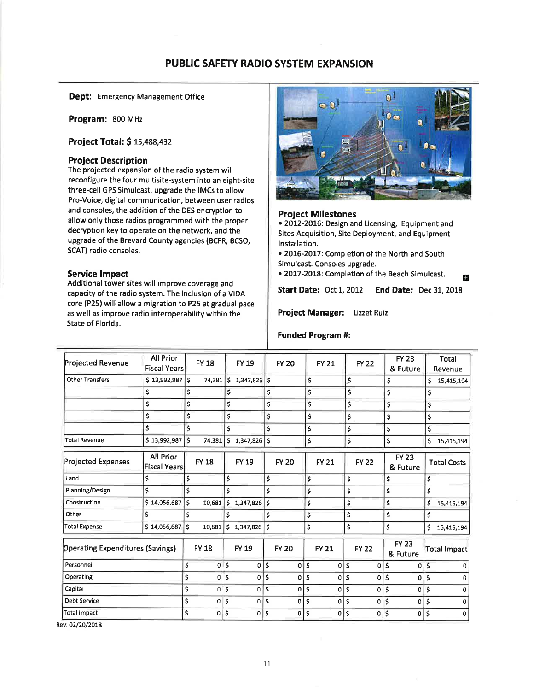# PUBLIC SAFETY RADIO SYSTEM EXPANSION

Dept: Emergency Management Office

Program: 800 MHz

Project Total: \$15,488,432

## Project Description

The projected expansion of the radio system will reconfigure the four multisite-system into an eight-site three-cell GPS Simulcast, upgrade the lMCs to allow Pro-Voice, digital communication, between user radios and consoles, the addition of the DES encryption to allow only those radios programmed with the proper decryption key to operate on the network, and the upgrade of the Brevard County agencies (BCFR, BCSO, SCAT) radio consoles.

## Service lmpact

Additional tower sites will improve coverage and capacity of the radio system. The inclusion of a VIDA core (P25) will allow a migration to P25 at gradual pace as well as improve radio interoperability within the State of Florida.



### Project Milestones

. 2OL2-20t6; Design and Licensing, Equipment and Sites Acquisition, Site Deployment, and Equipment lnstallation.

. 2OL6-2OL7: Completion of the North and South Simulcast. Consoles upgrade.

• 2017-2018: Completion of the Beach Simulcast.

Start Date: Oct 1, 2012 End Date: Dec 31, 2018

Project Manager: Lizzet Ruiz

### Funded Program #:

| Projected Revenue                       | <b>All Prior</b><br><b>Fiscal Years</b> |                         | <b>FY 18</b> |    | <b>FY 19</b>                |    | <b>FY 20</b> |     | <b>FY 21</b> |        | <b>FY 22</b> |               | <b>FY 23</b><br>& Future | <b>Total</b><br>Revenue |   |
|-----------------------------------------|-----------------------------------------|-------------------------|--------------|----|-----------------------------|----|--------------|-----|--------------|--------|--------------|---------------|--------------------------|-------------------------|---|
| <b>Other Transfers</b>                  | $$13,992,987$ $$$                       |                         | 74,381       | \$ | $1,347,826$ \$              |    |              | \$  |              | \$     |              | \$            |                          | \$<br>15,415,194        |   |
|                                         | \$                                      | \$                      |              | \$ |                             | \$ |              | \$  |              | \$     |              | \$            |                          | \$                      |   |
|                                         | \$                                      | \$                      |              | \$ |                             | \$ |              | \$  |              | \$     |              | \$            |                          | \$                      |   |
|                                         | \$                                      | \$                      |              | \$ |                             | \$ |              | \$  |              | \$     |              | \$            |                          | \$                      |   |
|                                         | \$                                      | \$                      |              | \$ |                             | \$ |              | \$  |              | \$     |              | \$            |                          | \$                      |   |
| <b>Total Revenue</b>                    | \$13,992,987                            | \$                      | 74,381       | \$ | 1,347,826                   | \$ |              | \$  |              | \$     |              | \$            |                          | \$<br>15,415,194        |   |
| <b>Projected Expenses</b>               | All Prior<br><b>Fiscal Years</b>        |                         | <b>FY 18</b> |    | <b>FY 19</b>                |    | <b>FY 20</b> |     | <b>FY 21</b> |        | <b>FY 22</b> |               | <b>FY 23</b><br>& Future | <b>Total Costs</b>      |   |
| Land                                    | \$                                      | \$                      |              | \$ |                             | \$ |              | \$  |              | \$     |              | \$            |                          | \$                      |   |
| Planning/Design                         | \$                                      | Ś                       |              | \$ |                             | \$ |              | \$  |              | \$     |              | \$            |                          | \$                      |   |
| Construction                            | \$14,056,687                            | \$                      | 10,681       | 5  | $1,347,826$   S             |    |              | \$  |              | \$     |              | \$            |                          | \$<br>15,415,194        |   |
| Other                                   | Ś                                       | Ś                       |              | \$ |                             | \$ |              | \$  |              | \$     |              | \$            |                          | \$                      |   |
| Total Expense                           | \$14,056,687                            | Ś.                      | 10,681       |    | $5$ 1,347,826 $\frac{1}{5}$ |    |              | \$  |              | \$     |              | \$            |                          | \$<br>15,415,194        |   |
| <b>Operating Expenditures (Savings)</b> |                                         |                         | <b>FY 18</b> |    | <b>FY 19</b>                |    | <b>FY 20</b> |     | <b>FY 21</b> |        | <b>FY 22</b> |               | <b>FY 23</b><br>& Future | Total Impact            |   |
| Personnel                               |                                         | \$                      | 0            | \$ | 0                           | Ś  | $\Omega$     | \$  | $\Omega$     | \$     | $\Omega$     | \$.           | o                        | Ś                       | n |
| Operating                               |                                         | \$                      | 0            | \$ | 0                           | \$ | 0            | \$  | 0            | \$     | $\mathbf 0$  | \$            | 0                        | \$                      | n |
| Capital                                 |                                         | \$                      | 0            | \$ | 0                           | \$ | 0            | Ś   | 0            | \$     | 0            | \$            | 0                        | \$                      | 0 |
| <b>Debt Service</b>                     |                                         | \$                      | $0 \mid \xi$ |    | 0                           | \$ | 0            | ¦\$ |              | 0   \$ | $\Omega$     | $\mathsf{\$}$ | $\Omega$                 | \$                      | n |
| <b>Total Impact</b>                     |                                         | $\mathsf{\overline{S}}$ | 0            | \$ | 0                           | \$ | 0            | Ś   | 0            | \$     | 0            | $\mathsf{S}$  | $\mathbf{0}$             | \$                      | 0 |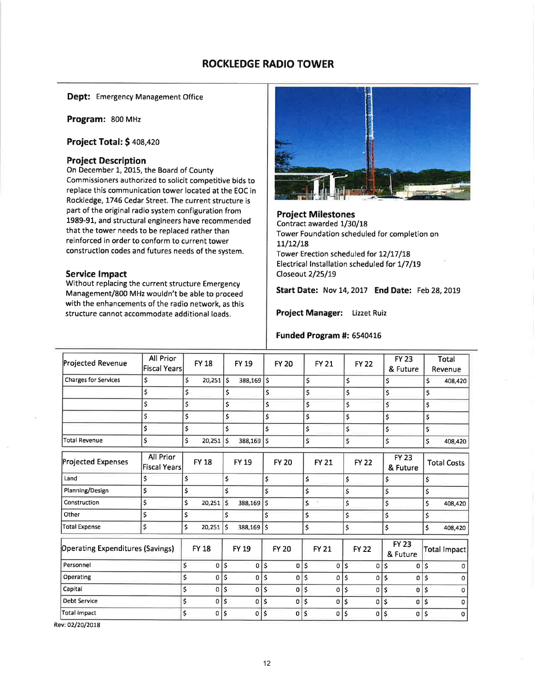## ROCKLEDGE RADIO TOWER

Dept: Emergency Management Office

Program: 8oo MHz

Project Total: \$408,420

#### Project Description

On December 1, 2015, the Board of County Commissioners authorized to solicit competitive bids to replace this communication tower located at the EOC in Rockledge, 1746 Cedar Street. The current structure is part of the original radio system configuration from 1989-91, and structural engineers have recommended that the tower needs to be replaced rather than reinforced in order to conform to current tower construction codes and futures needs of the system.

#### Service lmpact

Without replacing the current structure Emergency Management/8O0 MHz wouldn't be able to proceed with the enhancements of the radio network, as this structure cannot accommodate additional loads.



Project Milestones Contract awarded 1/30/18 Tower Foundation scheduled for completion on  $11/12/18$ Tower Erection scheduled for 12/17/18 Electrical Installation scheduled for 1/7/19 Closeout 2/25/19

Start Date: Nov 14, 2017 End Date: Feb 28, 2019

Project Manager: Lizzet Ruiz

#### Funded Program #: 6540416

| <b>Projected Revenue</b>                | All Prior<br><b>Fiscal Years</b> | <b>FY 18</b>      |              | <b>FY 19</b>   |    | <b>FY 20</b> | <b>FY 21</b> | <b>FY 22</b>   |              | <b>FY 23</b><br>& Future |    | Total<br>Revenue   |
|-----------------------------------------|----------------------------------|-------------------|--------------|----------------|----|--------------|--------------|----------------|--------------|--------------------------|----|--------------------|
| <b>Charges for Services</b>             | \$                               | \$<br>$20,251$ \$ |              | 388,169        | ١s |              | \$           | \$             | \$           |                          | Ś  | 408,420            |
|                                         | \$                               | \$                | \$           |                | \$ |              | \$           | \$             | \$           |                          | \$ |                    |
|                                         | \$                               | \$                | \$           |                | \$ |              | \$           | \$             | \$           |                          | \$ |                    |
|                                         | \$                               | \$                | \$           |                | \$ |              | \$           | \$             | \$           |                          | \$ |                    |
|                                         | \$                               | \$                | \$           |                | \$ |              | \$           | \$             | \$           |                          | \$ |                    |
| <b>Total Revenue</b>                    | \$                               | \$<br>20,251      | \$           | 388,169        | \$ |              | \$           | \$             | \$           |                          | \$ | 408,420            |
| <b>Projected Expenses</b>               | All Prior<br><b>Fiscal Years</b> | <b>FY 18</b>      |              | <b>FY 19</b>   |    | <b>FY 20</b> | <b>FY 21</b> | <b>FY 22</b>   |              | <b>FY 23</b><br>& Future |    | <b>Total Costs</b> |
| Land                                    | \$                               | \$                | \$           |                | \$ |              | \$           | \$             | \$           |                          | \$ |                    |
| Planning/Design                         | \$                               | \$                | Ś            |                | Ś  |              | \$           | \$             | \$           |                          | \$ |                    |
| Construction                            | \$                               | \$<br>20,251      | \$           | 388,169        | \$ |              | \$           | \$             | \$           |                          | \$ | 408,420            |
| Other                                   | \$                               | \$                | \$           |                | \$ |              | \$           | \$             | \$           |                          | \$ |                    |
| <b>Total Expense</b>                    | \$                               | \$<br>20,251      | ١\$          | $388,169$ \$   |    |              | \$           | \$             | \$           |                          | \$ | 408,420            |
| <b>Operating Expenditures (Savings)</b> |                                  | <b>FY 18</b>      |              | <b>FY 19</b>   |    | <b>FY 20</b> | <b>FY 21</b> | <b>FY 22</b>   |              | <b>FY 23</b><br>& Future |    | Total Impact       |
| Personnel                               |                                  | \$<br>$\mathbf 0$ | \$           | 0 <sup>1</sup> |    | 0            | \$<br>0      | \$<br>0        | ۱\$          | 0                        | \$ | 0                  |
| Operating                               |                                  | \$<br>0           | $\mathsf{S}$ | 0              | \$ | 0            | \$<br>0      | \$<br>0        | \$           | 0                        | Ś  | $\Omega$           |
| Capital                                 |                                  | \$<br>$\Omega$    | \$           | O              | \$ | 0            | \$<br>0      | \$<br>0        | $\mathsf{S}$ | 0                        | \$ | $\Omega$           |
| <b>Debt Service</b>                     |                                  | \$<br>$\mathbf 0$ | \$           | 0              | Ś  | 0            | \$<br>0      | \$<br>0        | \$           | 0                        | \$ | $\Omega$           |
| <b>Total Impact</b>                     |                                  | \$<br>0           | \$           | 0              | Ś  | $\mathbf{O}$ | \$<br>0      | \$<br>$\Omega$ | \$           | 0                        | \$ | O                  |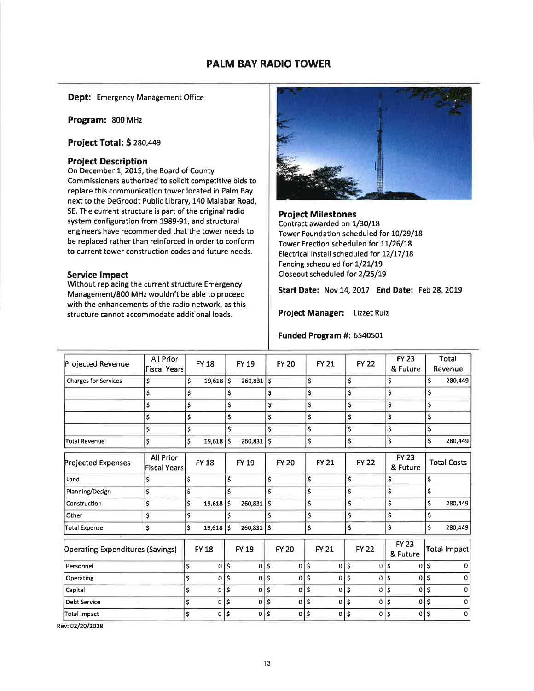## PALM BAY RADIO TOWER

Dept: Emergency Management Office

Program: 800 MHz

Project Total: \$ 280,449

### Project Description

On December 1, 2015, the Board of County Commissioners authorized to solicit competitive bids to replace this communication tower located in Palm Bay next to the DeGroodt Public Library, 140 Malabar Road, SE. The current structure is part of the original radio system configuration from 1989-91, and structural engineers have recommended that the tower needs to be replaced rather than reinforced in order to conform to current tower construction codes and future needs.

#### Service lmpact

Without replacing the current structure Emergency Management/800 MHz wouldn't be able to proceed with the enhancements of the radio network, as this structure cannot accommodate additional loads.



Project Milestones Contract awarded on 1/30/18 Tower Foundation scheduled for 10/29/18 Tower Erection scheduled for 11/26/18 Electrical Install scheduled for 12/17/18 Fencing scheduled for 1/21/19 Closeout scheduled for 2/25/19

Start Date: Nov 14, 2017 End Date: Feb 28, 2019

Project Manager: Lizzet Ruiz

#### Funded Program #: 5540501

| All Prior                               | <b>FY 18</b>                        |              | FY 19                                   |    | <b>FY 20</b> |                                             | <b>FY 21</b> |                                                                                                             | <b>FY 22</b>      |    | <b>FY 23</b> |                                                                                                    | Total<br>Revenue   |
|-----------------------------------------|-------------------------------------|--------------|-----------------------------------------|----|--------------|---------------------------------------------|--------------|-------------------------------------------------------------------------------------------------------------|-------------------|----|--------------|----------------------------------------------------------------------------------------------------|--------------------|
| \$                                      | \$                                  |              | 260,831                                 |    |              |                                             |              | \$                                                                                                          |                   |    |              | \$                                                                                                 | 280,449            |
| \$                                      | \$                                  | \$           |                                         | \$ |              |                                             |              | \$                                                                                                          |                   |    |              | \$                                                                                                 |                    |
| \$                                      | \$                                  | \$           |                                         | \$ |              |                                             |              | \$                                                                                                          |                   |    |              | \$                                                                                                 |                    |
| \$                                      | \$                                  | \$           |                                         |    |              |                                             |              | \$                                                                                                          |                   |    |              | \$                                                                                                 |                    |
| \$                                      | \$                                  | \$           |                                         |    |              |                                             |              | \$                                                                                                          |                   |    |              | \$                                                                                                 |                    |
| \$                                      | \$<br>19,618                        | $\mathsf{s}$ | 260,831                                 | \$ |              |                                             |              | \$                                                                                                          |                   |    |              | \$                                                                                                 | 280,449            |
| All Prior                               | <b>FY 18</b>                        |              | <b>FY 19</b>                            |    | <b>FY 20</b> |                                             | <b>FY 21</b> |                                                                                                             | <b>FY 22</b>      |    | <b>FY 23</b> |                                                                                                    | <b>Total Costs</b> |
| \$                                      | \$                                  | \$           |                                         |    |              |                                             |              | \$                                                                                                          |                   |    |              | \$                                                                                                 |                    |
| \$                                      | \$                                  | \$           |                                         | \$ |              |                                             |              | \$                                                                                                          |                   |    |              | \$                                                                                                 |                    |
| \$                                      | \$<br>19,618                        |              | 260,831                                 | \$ |              |                                             |              | \$                                                                                                          |                   |    |              | \$                                                                                                 | 280,449            |
| \$                                      | \$                                  | \$           |                                         | \$ |              |                                             |              | \$                                                                                                          |                   |    |              | \$                                                                                                 |                    |
| \$                                      | \$                                  |              |                                         | \$ |              |                                             |              | \$                                                                                                          |                   |    |              | \$                                                                                                 | 280,449            |
| <b>Operating Expenditures (Savings)</b> | <b>FY 18</b>                        |              | FY 19                                   |    | <b>FY 20</b> |                                             | <b>FY 21</b> |                                                                                                             | <b>FY 22</b>      |    | <b>FY 23</b> |                                                                                                    | Total Impact       |
|                                         | \$<br>$\mathbf 0$                   |              | $\overline{0}$                          | \$ | 0            |                                             | 0            | \$                                                                                                          | 0                 | \$ | 0            | \$                                                                                                 | n                  |
|                                         | \$<br>$\mathbf 0$                   | \$           | 0                                       | Ś  | 0            |                                             | 0            | \$                                                                                                          | 0                 | Ś  | 0            | \$                                                                                                 |                    |
|                                         | \$<br>$\Omega$                      | \$           | $\sigma$                                | \$ | 0            |                                             |              | \$                                                                                                          | 0                 | \$ | 0            | \$                                                                                                 | 0                  |
|                                         | \$<br>$\Omega$                      | \$           | 0                                       | \$ | 0            |                                             |              | \$                                                                                                          | 0                 | Ś  | 0            | \$                                                                                                 | $\Omega$           |
|                                         | \$<br>0                             | \$           | $\circ$                                 | Ś  | 0            |                                             | 0            | \$                                                                                                          | 0                 | Ś  | 0            | \$                                                                                                 | $\Omega$           |
|                                         | Fiscal Years<br><b>Fiscal Years</b> |              | $19,618$ \$<br>١ś<br>$19,618$ \$<br>¦\$ |    | 260,831      | \$<br>\$<br>\$<br>$\boldsymbol{\mathsf{S}}$ |              | \$<br>\$<br>\$<br>\$<br>\$<br>\$<br>\$<br>\$<br>\$<br>\$<br>\$<br>\$<br>\$<br>$\mathsf{\hat{S}}$<br>Ś<br>١ś | 0<br>$\mathbf{0}$ |    |              | & Future<br>\$<br>\$<br>\$<br>\$<br>\$<br>\$<br>& Future<br>\$<br>\$<br>\$<br>\$<br>\$<br>& Future |                    |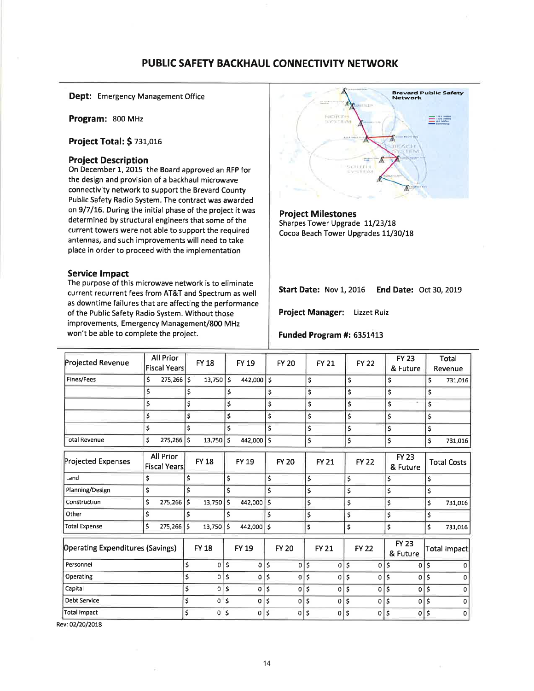## PUBLIC SAFETY BACKHAUL CONNECTIVITY NETWORK

Dept: Emergency Management Office

Program: 800 MHz

**Project Total: \$ 731,016** 

## **Project Description**

On December 1, 2015 the Board approved an RFP for the design and provision of a backhaul microwave connectivity network to support the Brevard County Public Safety Radio System. The contract was awarded on 9/7/16. During the initial phase of the project it was determined by structural engineers that some of the current towers were not able to support the required antennas, and such improvements will need to take place in order to proceed with the implementation

#### **Service Impact**

The purpose of this microwave network is to eliminate current recurrent fees from AT&T and Spectrum as well as downtime failures that are affecting the performance of the Public Safety Radio System. Without those improvements, Emergency Management/800 MHz won't be able to complete the project.



**Project Milestones** Sharpes Tower Upgrade 11/23/18 Cocoa Beach Tower Upgrades 11/30/18

Start Date: Nov 1, 2016 End Date: Oct 30, 2019

Project Manager: Lizzet Ruiz

#### Funded Program #: 6351413

| Projected Revenue                       | All Prior<br><b>Fiscal Years</b> |     | <b>FY 18</b> |     | FY 19        |     | <b>FY 20</b> |     | <b>FY 21</b> |     | <b>FY 22</b> |              | <b>FY 23</b><br>& Future |    | Total<br>Revenue   |
|-----------------------------------------|----------------------------------|-----|--------------|-----|--------------|-----|--------------|-----|--------------|-----|--------------|--------------|--------------------------|----|--------------------|
| Fines/Fees                              | Ś<br>275,266                     | ١\$ | 13,750       | ١\$ | 442,000      | ls. |              | \$  |              | \$  |              | \$           |                          | \$ | 731,016            |
|                                         | $\mathsf{\hat{S}}$               | \$  |              | \$  |              | \$  |              | \$  |              | \$  |              | \$           |                          | \$ |                    |
|                                         | \$                               | Ś   |              | \$  |              | \$  |              | \$  |              | \$  |              | \$           | $\sim$                   | \$ |                    |
|                                         | \$                               | \$  |              | \$  |              | \$  |              | \$  |              | \$  |              | \$           |                          | \$ |                    |
|                                         | \$                               | \$  |              | \$  |              | \$  |              | \$  |              | \$  |              | \$           |                          | \$ |                    |
| Total Revenue                           | \$<br>275,266                    | \$  | 13,750       | ١s  | 442,000      | \$  |              | \$  |              | \$  |              | \$           |                          | Ś  | 731,016            |
| <b>Projected Expenses</b>               | All Prior<br>Fiscal Years        |     | <b>FY 18</b> |     | <b>FY 19</b> |     | <b>FY 20</b> |     | <b>FY 21</b> |     | <b>FY 22</b> |              | <b>FY 23</b><br>& Future |    | <b>Total Costs</b> |
| Land                                    | \$                               | \$  |              | \$  |              | \$  |              | \$  |              | \$  |              | \$           |                          | \$ |                    |
| Planning/Design                         | \$                               | \$  |              | \$  |              | \$  |              | \$  |              | \$  |              | \$           |                          | \$ |                    |
| Construction                            | \$<br>275,266                    | Ś   | 13,750       | \$  | 442,000      | \$  |              | \$  |              | \$  |              | \$           |                          | \$ | 731,016            |
| Other                                   | \$                               | Ś   |              | \$  |              | \$  |              | \$  |              | \$  |              | \$           |                          | \$ |                    |
| Total Expense                           | Ś<br>275,266                     | \$  | 13,750       | \$  | 442,000 \$   |     |              | \$  |              | \$  |              | \$           |                          | \$ | 731,016            |
| <b>Operating Expenditures (Savings)</b> |                                  |     | <b>FY 18</b> |     | <b>FY 19</b> |     | <b>FY 20</b> |     | <b>FY 21</b> |     | <b>FY 22</b> |              | <b>FY 23</b><br>& Future |    | Total Impact       |
| Personnel                               |                                  | \$  | 0            | \$  | 0            | \$  | 0            | \$  | 0            | \$  | 0            | \$           | 0                        | Ś  |                    |
| Operating                               |                                  | \$  | 0            | \$  | 0            | \$  | 0            | \$  | 0            | \$  | 0            | \$           | 0                        | \$ | n                  |
| Capital                                 |                                  | \$  | 0            | \$  | 0            | \$  | 0            | \$  | 0            | \$  | 0            | ¦\$          | 0                        | \$ | 0                  |
| <b>Debt Service</b>                     |                                  | \$  | $\Omega$     | \$  | 0            | Ś   | 0            | \$. | 0            | '\$ | 0            | '\$          | $\Omega$                 | \$ | $\Omega$           |
| <b>Total Impact</b>                     |                                  | \$  | 0            | \$  | 0            | \$  | 0            | Ś   | 0            | Ś   | 0            | $\mathsf{s}$ | $\overline{0}$           | \$ | $\mathbf{O}$       |